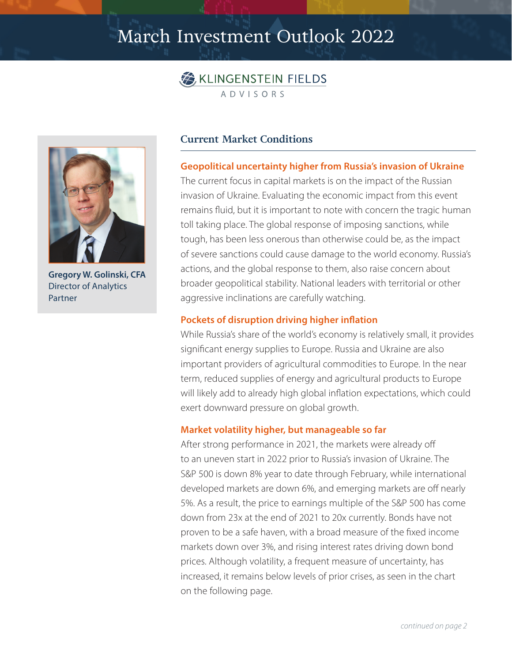# March Investment Outlook 2022





**Gregory W. Golinski, CFA** Director of Analytics Partner

## **Current Market Conditions**

#### **Geopolitical uncertainty higher from Russia's invasion of Ukraine**

The current focus in capital markets is on the impact of the Russian invasion of Ukraine. Evaluating the economic impact from this event remains fluid, but it is important to note with concern the tragic human toll taking place. The global response of imposing sanctions, while tough, has been less onerous than otherwise could be, as the impact of severe sanctions could cause damage to the world economy. Russia's actions, and the global response to them, also raise concern about broader geopolitical stability. National leaders with territorial or other aggressive inclinations are carefully watching.

### **Pockets of disruption driving higher inflation**

While Russia's share of the world's economy is relatively small, it provides significant energy supplies to Europe. Russia and Ukraine are also important providers of agricultural commodities to Europe. In the near term, reduced supplies of energy and agricultural products to Europe will likely add to already high global inflation expectations, which could exert downward pressure on global growth.

### **Market volatility higher, but manageable so far**

After strong performance in 2021, the markets were already off to an uneven start in 2022 prior to Russia's invasion of Ukraine. The S&P 500 is down 8% year to date through February, while international developed markets are down 6%, and emerging markets are off nearly 5%. As a result, the price to earnings multiple of the S&P 500 has come down from 23x at the end of 2021 to 20x currently. Bonds have not proven to be a safe haven, with a broad measure of the fixed income markets down over 3%, and rising interest rates driving down bond prices. Although volatility, a frequent measure of uncertainty, has increased, it remains below levels of prior crises, as seen in the chart on the following page.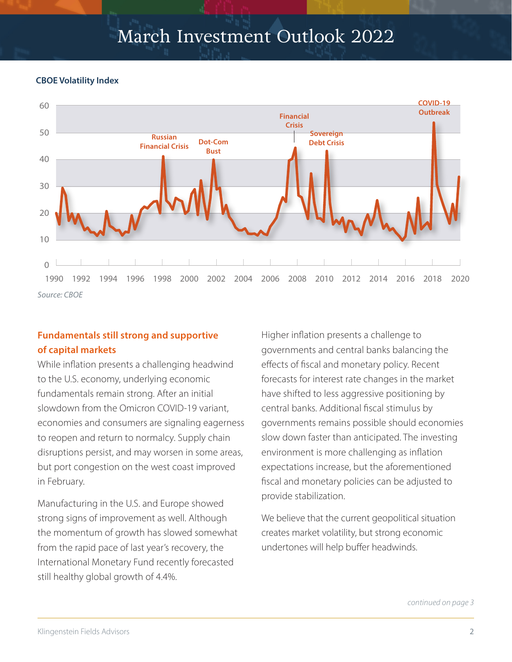# March Investment Outlook 2022

#### **CBOE Volatility Index**



## **Fundamentals still strong and supportive of capital markets**

While inflation presents a challenging headwind to the U.S. economy, underlying economic fundamentals remain strong. After an initial slowdown from the Omicron COVID-19 variant, economies and consumers are signaling eagerness to reopen and return to normalcy. Supply chain disruptions persist, and may worsen in some areas, but port congestion on the west coast improved in February.

Manufacturing in the U.S. and Europe showed strong signs of improvement as well. Although the momentum of growth has slowed somewhat from the rapid pace of last year's recovery, the International Monetary Fund recently forecasted still healthy global growth of 4.4%.

Higher inflation presents a challenge to governments and central banks balancing the effects of fiscal and monetary policy. Recent forecasts for interest rate changes in the market have shifted to less aggressive positioning by central banks. Additional fiscal stimulus by governments remains possible should economies slow down faster than anticipated. The investing environment is more challenging as inflation expectations increase, but the aforementioned fiscal and monetary policies can be adjusted to provide stabilization.

We believe that the current geopolitical situation creates market volatility, but strong economic undertones will help buffer headwinds.

*continued on page 3*